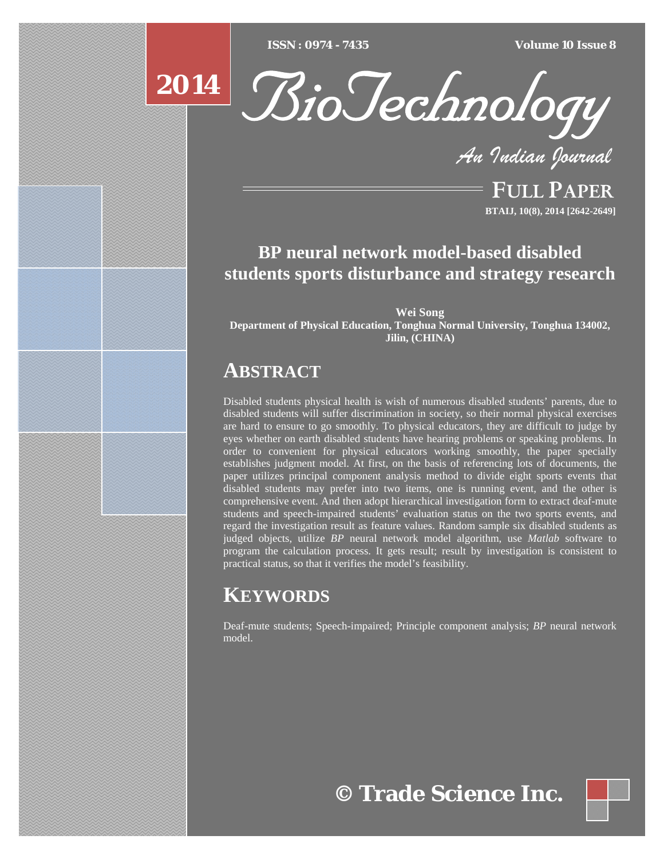[Type text] [Type text] [Type text] *ISSN : 0974 - 7435 Volume 10 Issue 8*





*An Indian Journal*

FULL PAPER **BTAIJ, 10(8), 2014 [2642-2649]**

# **BP neural network model-based disabled students sports disturbance and strategy research**

**Wei Song Department of Physical Education, Tonghua Normal University, Tonghua 134002, Jilin, (CHINA)**

# **ABSTRACT**

Disabled students physical health is wish of numerous disabled students' parents, due to disabled students will suffer discrimination in society, so their normal physical exercises are hard to ensure to go smoothly. To physical educators, they are difficult to judge by eyes whether on earth disabled students have hearing problems or speaking problems. In order to convenient for physical educators working smoothly, the paper specially establishes judgment model. At first, on the basis of referencing lots of documents, the paper utilizes principal component analysis method to divide eight sports events that disabled students may prefer into two items, one is running event, and the other is comprehensive event. And then adopt hierarchical investigation form to extract deaf-mute students and speech-impaired students' evaluation status on the two sports events, and regard the investigation result as feature values. Random sample six disabled students as judged objects, utilize *BP* neural network model algorithm, use *Matlab* software to program the calculation process. It gets result; result by investigation is consistent to practical status, so that it verifies the model's feasibility.

# **KEYWORDS**

Deaf-mute students; Speech-impaired; Principle component analysis; *BP* neural network model.

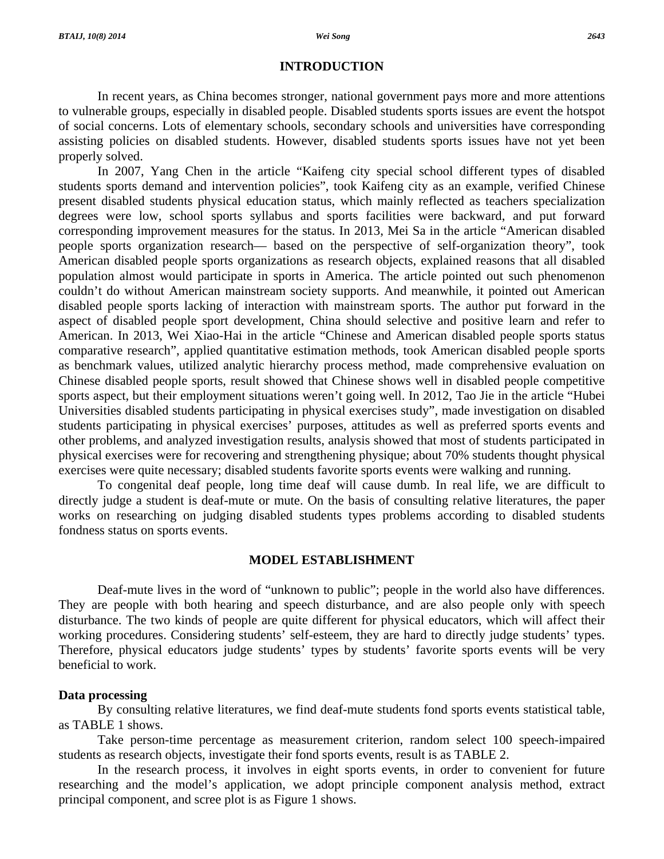### **INTRODUCTION**

 In recent years, as China becomes stronger, national government pays more and more attentions to vulnerable groups, especially in disabled people. Disabled students sports issues are event the hotspot of social concerns. Lots of elementary schools, secondary schools and universities have corresponding assisting policies on disabled students. However, disabled students sports issues have not yet been properly solved.

 In 2007, Yang Chen in the article "Kaifeng city special school different types of disabled students sports demand and intervention policies", took Kaifeng city as an example, verified Chinese present disabled students physical education status, which mainly reflected as teachers specialization degrees were low, school sports syllabus and sports facilities were backward, and put forward corresponding improvement measures for the status. In 2013, Mei Sa in the article "American disabled people sports organization research— based on the perspective of self-organization theory", took American disabled people sports organizations as research objects, explained reasons that all disabled population almost would participate in sports in America. The article pointed out such phenomenon couldn't do without American mainstream society supports. And meanwhile, it pointed out American disabled people sports lacking of interaction with mainstream sports. The author put forward in the aspect of disabled people sport development, China should selective and positive learn and refer to American. In 2013, Wei Xiao-Hai in the article "Chinese and American disabled people sports status comparative research", applied quantitative estimation methods, took American disabled people sports as benchmark values, utilized analytic hierarchy process method, made comprehensive evaluation on Chinese disabled people sports, result showed that Chinese shows well in disabled people competitive sports aspect, but their employment situations weren't going well. In 2012, Tao Jie in the article "Hubei Universities disabled students participating in physical exercises study", made investigation on disabled students participating in physical exercises' purposes, attitudes as well as preferred sports events and other problems, and analyzed investigation results, analysis showed that most of students participated in physical exercises were for recovering and strengthening physique; about 70% students thought physical exercises were quite necessary; disabled students favorite sports events were walking and running.

 To congenital deaf people, long time deaf will cause dumb. In real life, we are difficult to directly judge a student is deaf-mute or mute. On the basis of consulting relative literatures, the paper works on researching on judging disabled students types problems according to disabled students fondness status on sports events.

### **MODEL ESTABLISHMENT**

 Deaf-mute lives in the word of "unknown to public"; people in the world also have differences. They are people with both hearing and speech disturbance, and are also people only with speech disturbance. The two kinds of people are quite different for physical educators, which will affect their working procedures. Considering students' self-esteem, they are hard to directly judge students' types. Therefore, physical educators judge students' types by students' favorite sports events will be very beneficial to work.

#### **Data processing**

 By consulting relative literatures, we find deaf-mute students fond sports events statistical table, as TABLE 1 shows.

 Take person-time percentage as measurement criterion, random select 100 speech-impaired students as research objects, investigate their fond sports events, result is as TABLE 2.

 In the research process, it involves in eight sports events, in order to convenient for future researching and the model's application, we adopt principle component analysis method, extract principal component, and scree plot is as Figure 1 shows.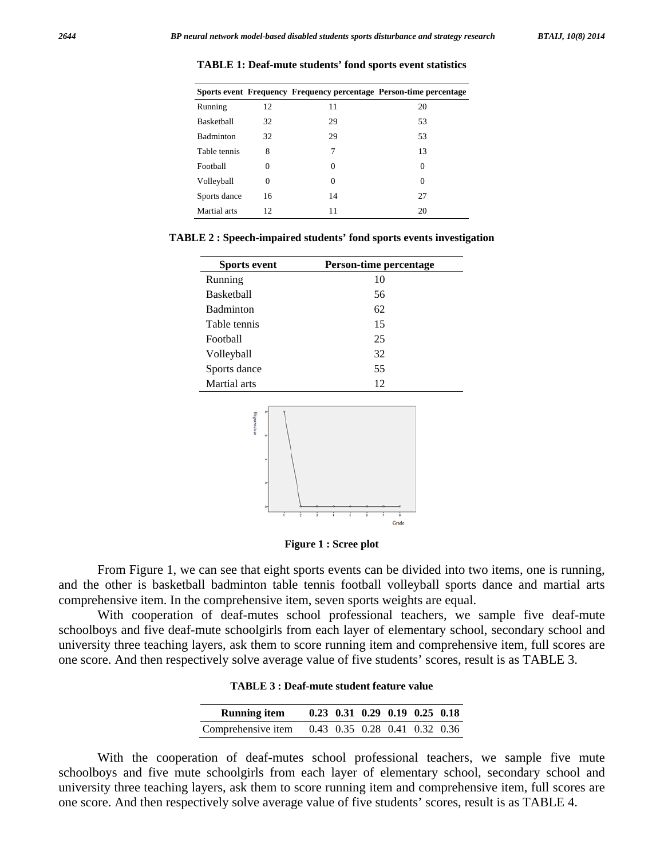|                   |    |          | Sports event Frequency Frequency percentage Person-time percentage |
|-------------------|----|----------|--------------------------------------------------------------------|
| Running           | 12 | 11       | 20                                                                 |
| <b>Basketball</b> | 32 | 29       | 53                                                                 |
| Badminton         | 32 | 29       | 53                                                                 |
| Table tennis      | 8  | 7        | 13                                                                 |
| Football          | 0  | $\Omega$ | 0                                                                  |
| Volleyball        | 0  | 0        | 0                                                                  |
| Sports dance      | 16 | 14       | 27                                                                 |
| Martial arts      | 12 | 11       | 20                                                                 |

**TABLE 1: Deaf-mute students' fond sports event statistics** 

**TABLE 2 : Speech-impaired students' fond sports events investigation** 

| <b>Sports event</b> | <b>Person-time percentage</b> |
|---------------------|-------------------------------|
| Running             | 10                            |
| <b>Basketball</b>   | 56                            |
| Badminton           | 62                            |
| Table tennis        | 15                            |
| Football            | 25                            |
| Volleyball          | 32                            |
| Sports dance        | 55                            |
| Martial arts        | 12                            |



**Figure 1 : Scree plot** 

 From Figure 1, we can see that eight sports events can be divided into two items, one is running, and the other is basketball badminton table tennis football volleyball sports dance and martial arts comprehensive item. In the comprehensive item, seven sports weights are equal.

 With cooperation of deaf-mutes school professional teachers, we sample five deaf-mute schoolboys and five deaf-mute schoolgirls from each layer of elementary school, secondary school and university three teaching layers, ask them to score running item and comprehensive item, full scores are one score. And then respectively solve average value of five students' scores, result is as TABLE 3.

|  |  | <b>TABLE 3 : Deaf-mute student feature value</b> |  |
|--|--|--------------------------------------------------|--|
|--|--|--------------------------------------------------|--|

| <b>Running item</b> |  |  | $0.23$ 0.31 0.29 0.19 0.25 0.18 |  |
|---------------------|--|--|---------------------------------|--|
| Comprehensive item  |  |  | 0.43 0.35 0.28 0.41 0.32 0.36   |  |

 With the cooperation of deaf-mutes school professional teachers, we sample five mute schoolboys and five mute schoolgirls from each layer of elementary school, secondary school and university three teaching layers, ask them to score running item and comprehensive item, full scores are one score. And then respectively solve average value of five students' scores, result is as TABLE 4.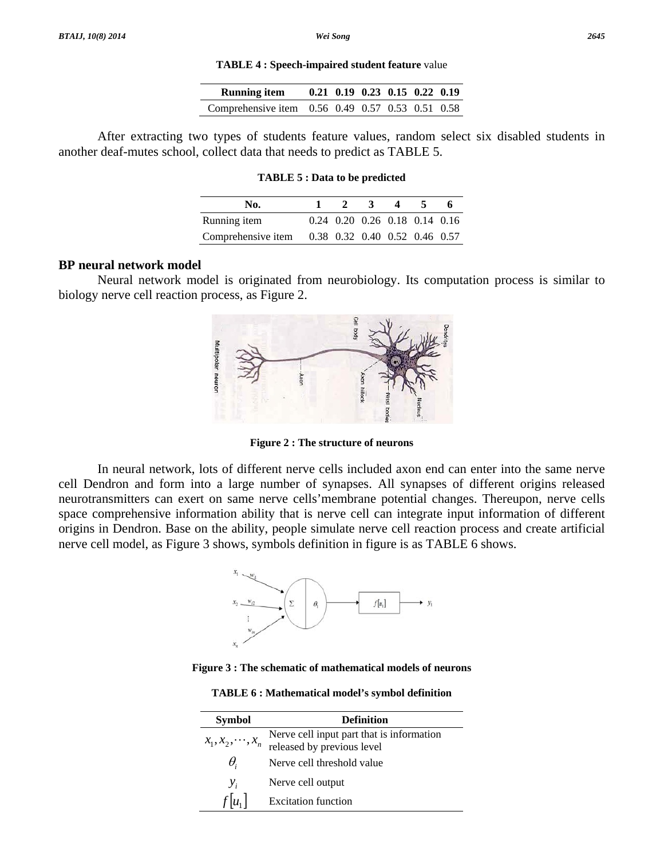#### **TABLE 4 : Speech-impaired student feature** value

| <b>Running item</b>                              | $0.21$ $0.19$ $0.23$ $0.15$ $0.22$ $0.19$ |  |  |
|--------------------------------------------------|-------------------------------------------|--|--|
| Comprehensive item 0.56 0.49 0.57 0.53 0.51 0.58 |                                           |  |  |

 After extracting two types of students feature values, random select six disabled students in another deaf-mutes school, collect data that needs to predict as TABLE 5.

#### **TABLE 5 : Data to be predicted**

| No.                |                               |  | $\Delta$                      |  |
|--------------------|-------------------------------|--|-------------------------------|--|
| Running item       |                               |  | 0.24 0.20 0.26 0.18 0.14 0.16 |  |
| Comprehensive item | 0.38 0.32 0.40 0.52 0.46 0.57 |  |                               |  |

# **BP neural network model**

 Neural network model is originated from neurobiology. Its computation process is similar to biology nerve cell reaction process, as Figure 2.



**Figure 2 : The structure of neurons** 

 In neural network, lots of different nerve cells included axon end can enter into the same nerve cell Dendron and form into a large number of synapses. All synapses of different origins released neurotransmitters can exert on same nerve cells'membrane potential changes. Thereupon, nerve cells space comprehensive information ability that is nerve cell can integrate input information of different origins in Dendron. Base on the ability, people simulate nerve cell reaction process and create artificial nerve cell model, as Figure 3 shows, symbols definition in figure is as TABLE 6 shows.



**Figure 3 : The schematic of mathematical models of neurons** 

**TABLE 6 : Mathematical model's symbol definition** 

| <b>Symbol</b>          | <b>Definition</b>                                                       |
|------------------------|-------------------------------------------------------------------------|
| $x_1, x_2, \dots, x_n$ | Nerve cell input part that is information<br>released by previous level |
| θ.                     | Nerve cell threshold value                                              |
| $\mathcal{Y}_i$        | Nerve cell output                                                       |
|                        | <b>Excitation function</b>                                              |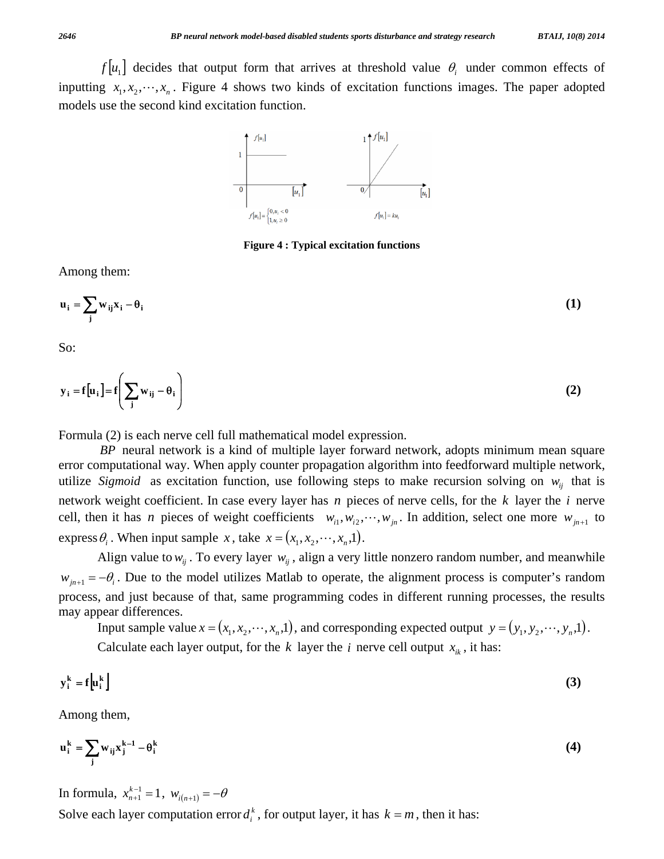$f[u_1]$  decides that output form that arrives at threshold value  $\theta_i$  under common effects of inputting  $x_1, x_2, \dots, x_n$ . Figure 4 shows two kinds of excitation functions images. The paper adopted models use the second kind excitation function.



**Figure 4 : Typical excitation functions** 

Among them:

$$
\mathbf{u}_{i} = \sum_{j} w_{ij} \mathbf{x}_{i} - \theta_{i}
$$
 (1)

So:

$$
\mathbf{y}_i = \mathbf{f}[\mathbf{u}_i] = \mathbf{f}\left(\sum_j \mathbf{w}_{ij} - \theta_i\right)
$$
 (2)

Formula (2) is each nerve cell full mathematical model expression.

*BP* neural network is a kind of multiple layer forward network, adopts minimum mean square error computational way. When apply counter propagation algorithm into feedforward multiple network, utilize *Sigmoid* as excitation function, use following steps to make recursion solving on  $w_{ij}$  that is network weight coefficient. In case every layer has *n* pieces of nerve cells, for the *k* layer the *i* nerve cell, then it has *n* pieces of weight coefficients  $w_{i1}, w_{i2}, \dots, w_{in}$ . In addition, select one more  $w_{in+1}$  to express  $\theta_i$ . When input sample *x*, take  $x = (x_1, x_2, \dots, x_n, 1)$ .

Align value to  $w_{ij}$ . To every layer  $w_{ij}$ , align a very little nonzero random number, and meanwhile  $w_{j_{n+1}} = -\theta_i$ . Due to the model utilizes Matlab to operate, the alignment process is computer's random process, and just because of that, same programming codes in different running processes, the results may appear differences.

Input sample value  $x = (x_1, x_2, \dots, x_n, 1)$ , and corresponding expected output  $y = (y_1, y_2, \dots, y_n, 1)$ . Calculate each layer output, for the *k* layer the *i* nerve cell output  $x_{ik}$ , it has:

$$
y_i^k = f[u_i^k]
$$
 (3)

Among them,

$$
\mathbf{u}_i^k = \sum_j w_{ij} x_j^{k-1} - \theta_i^k \tag{4}
$$

In formula,  $x_{n+1}^{k-1} = 1$  $x_{n+1}^{k-1} = 1$ ,  $w_{i(n+1)} = -\theta$ Solve each layer computation error  $d_i^k$ , for output layer, it has  $k = m$ , then it has: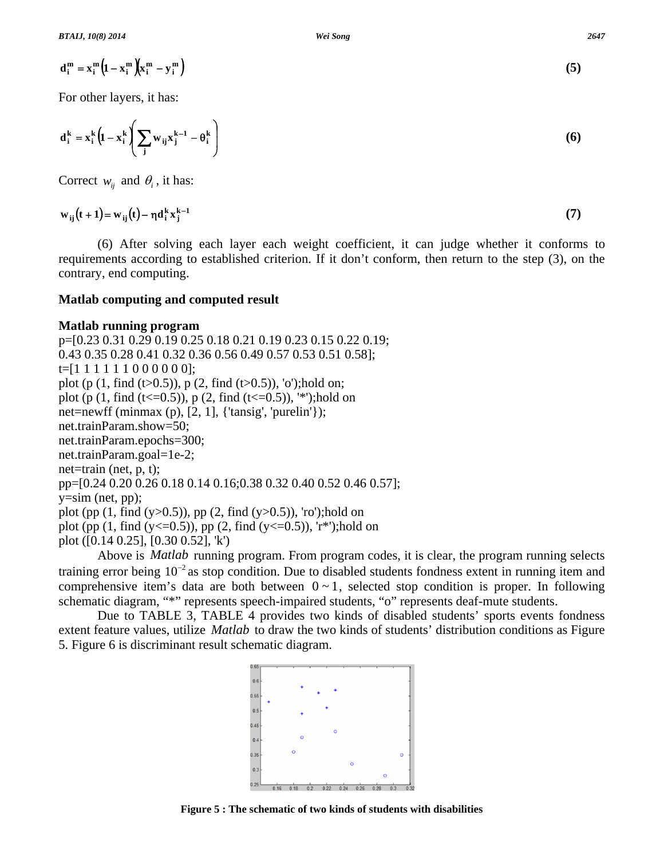$$
\mathbf{d}_i^m = \mathbf{x}_i^m \left( 1 - \mathbf{x}_i^m \right) \left( \mathbf{x}_i^m - \mathbf{y}_i^m \right) \tag{5}
$$

For other layers, it has:

$$
\mathbf{d}_i^k = \mathbf{x}_i^k \left( 1 - \mathbf{x}_i^k \left( \sum_j w_{ij} \mathbf{x}_j^{k-1} - \theta_i^k \right) \right)
$$
 (6)

Correct  $w_{ii}$  and  $\theta_i$ , it has:

 $w_{ij}(t+1) = w_{ij}(t) - \eta d_i^k x_j^{k-1}$  (7)

 (6) After solving each layer each weight coefficient, it can judge whether it conforms to requirements according to established criterion. If it don't conform, then return to the step (3), on the contrary, end computing.

# **Matlab computing and computed result**

# **Matlab running program**

p=[0.23 0.31 0.29 0.19 0.25 0.18 0.21 0.19 0.23 0.15 0.22 0.19; 0.43 0.35 0.28 0.41 0.32 0.36 0.56 0.49 0.57 0.53 0.51 0.58];  $t=[1 1 1 1 1 1 1 0 0 0 0 0 0]$ ; plot (p  $(1, \text{find } (t>0.5))$ , p  $(2, \text{find } (t>0.5))$ , 'o');hold on; plot (p  $(1, \text{find } (t \le 0.5))$ , p  $(2, \text{find } (t \le 0.5))$ , '\*');hold on net=newff (minmax  $(p)$ ,  $[2, 1]$ ,  $\{\{\text{tansig}', \text{ 'purelin'}\}\};$ net.trainParam.show=50; net.trainParam.epochs=300; net.trainParam.goal=1e-2; net=train (net,  $p, t$ ); pp=[0.24 0.20 0.26 0.18 0.14 0.16;0.38 0.32 0.40 0.52 0.46 0.57]; y=sim (net, pp); plot (pp  $(1, \text{find } (y>0.5))$ , pp  $(2, \text{find } (y>0.5))$ , 'ro');hold on plot (pp  $(1, \text{find } (y \le 0.5))$ , pp  $(2, \text{find } (y \le 0.5))$ , 'r<sup>\*</sup>');hold on plot ([0.14 0.25], [0.30 0.52], 'k')

> $06$  $0.55$

 $0.4$ 

 Above is *Matlab* running program. From program codes, it is clear, the program running selects training error being  $10^{-2}$  as stop condition. Due to disabled students fondness extent in running item and comprehensive item's data are both between  $0 \sim 1$ , selected stop condition is proper. In following schematic diagram, "\*" represents speech-impaired students, "o" represents deaf-mute students.

 Due to TABLE 3, TABLE 4 provides two kinds of disabled students' sports events fondness extent feature values, utilize *Matlab* to draw the two kinds of students' distribution conditions as Figure 5. Figure 6 is discriminant result schematic diagram.

 $0.35$  $03$  $0.25$ 0.18 0.2 0.22 0.24 0.26 0.28

**Figure 5 : The schematic of two kinds of students with disabilities** 

$$
(5)
$$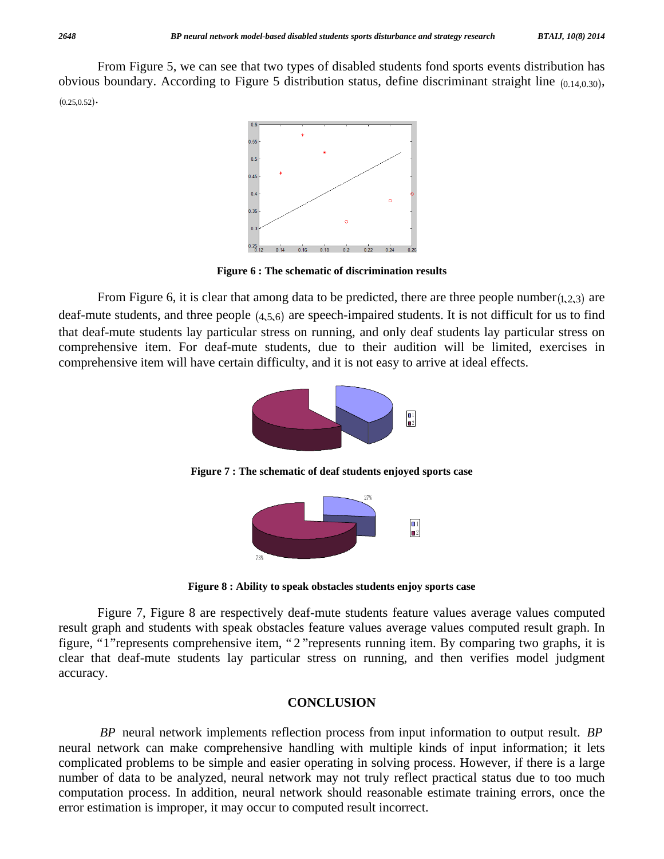From Figure 5, we can see that two types of disabled students fond sports events distribution has obvious boundary. According to Figure 5 distribution status, define discriminant straight line (0.14,0.30),  $(0.25, 0.52) \cdot$ 



**Figure 6 : The schematic of discrimination results** 

From Figure 6, it is clear that among data to be predicted, there are three people number $(1,2,3)$  are deaf-mute students, and three people  $(4,5,6)$  are speech-impaired students. It is not difficult for us to find that deaf-mute students lay particular stress on running, and only deaf students lay particular stress on comprehensive item. For deaf-mute students, due to their audition will be limited, exercises in comprehensive item will have certain difficulty, and it is not easy to arrive at ideal effects.



**Figure 7 : The schematic of deaf students enjoyed sports case** 



**Figure 8 : Ability to speak obstacles students enjoy sports case** 

 Figure 7, Figure 8 are respectively deaf-mute students feature values average values computed result graph and students with speak obstacles feature values average values computed result graph. In figure, "1"represents comprehensive item, " 2 "represents running item. By comparing two graphs, it is clear that deaf-mute students lay particular stress on running, and then verifies model judgment accuracy.

#### **CONCLUSION**

*BP* neural network implements reflection process from input information to output result. *BP* neural network can make comprehensive handling with multiple kinds of input information; it lets complicated problems to be simple and easier operating in solving process. However, if there is a large number of data to be analyzed, neural network may not truly reflect practical status due to too much computation process. In addition, neural network should reasonable estimate training errors, once the error estimation is improper, it may occur to computed result incorrect.